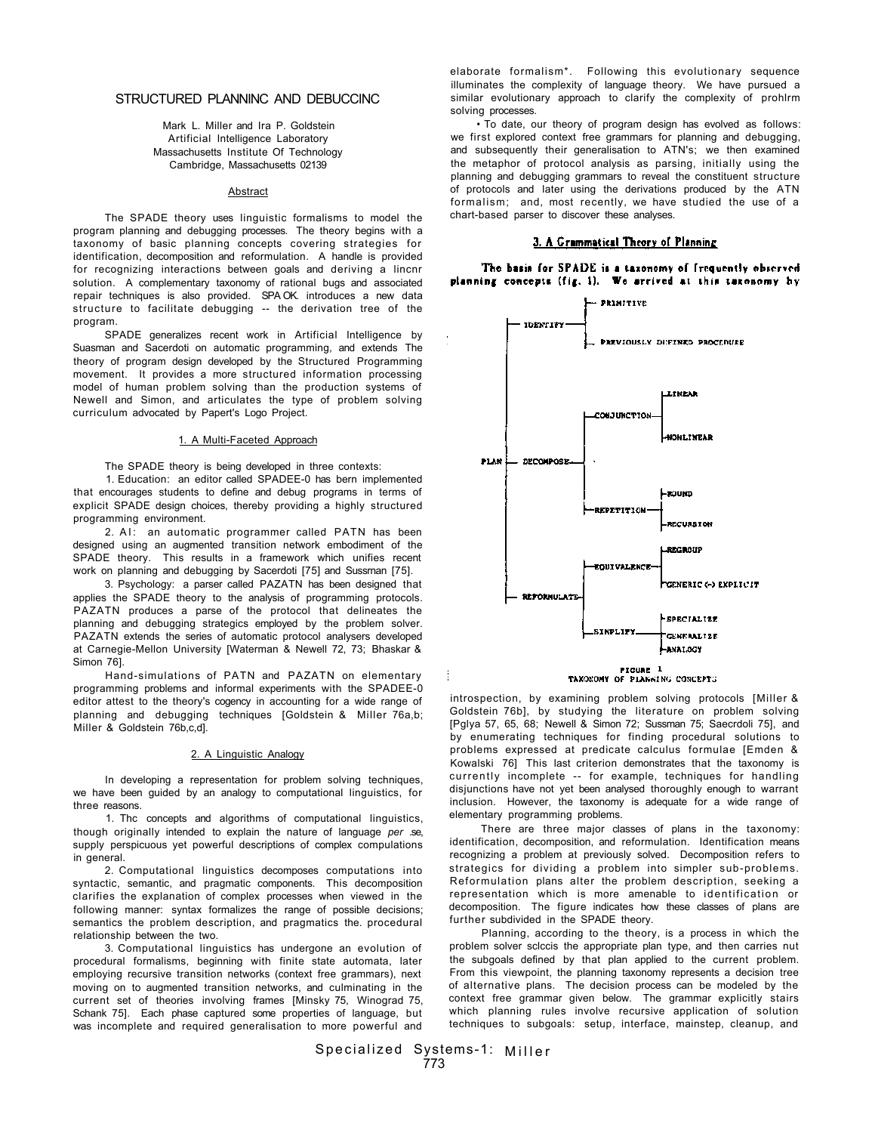### STRUCTURED PLANNINC AND DEBUCCINC

Mark L. Miller and Ira P. Goldstein Artificial Intelligence Laboratory Massachusetts Institute Of Technology Cambridge, Massachusetts 02139

### **Abstract**

The SPADE theory uses linguistic formalisms to model the program planning and debugging processes. The theory begins with a taxonomy of basic planning concepts covering strategies for identification, decomposition and reformulation. A handle is provided for recognizing interactions between goals and deriving a lincnr solution. A complementary taxonomy of rational bugs and associated repair techniques is also provided. SPA OK. introduces a new data structure to facilitate debugging -- the derivation tree of the program.

SPADE generalizes recent work in Artificial Intelligence by Suasman and Sacerdoti on automatic programming, and extends The theory of program design developed by the Structured Programming movement. It provides a more structured information processing model of human problem solving than the production systems of Newell and Simon, and articulates the type of problem solving curriculum advocated by Papert's Logo Project.

#### 1. A Multi-Faceted Approach

The SPADE theory is being developed in three contexts: 1. Education: an editor called SPADEE-0 has bern implemented

that encourages students to define and debug programs in terms of explicit SPADE design choices, thereby providing a highly structured programming environment.

2. AI: an automatic programmer called PATN has been designed using an augmented transition network embodiment of the SPADE theory. This results in a framework which unifies recent work on planning and debugging by Sacerdoti [75] and Sussrnan [75].

3. Psychology: a parser called PAZATN has been designed that applies the SPADE theory to the analysis of programming protocols. PAZATN produces a parse of the protocol that delineates the planning and debugging strategics employed by the problem solver. PAZATN extends the series of automatic protocol analysers developed at Carnegie-Mellon University [Waterman & Newell 72, 73; Bhaskar & Simon 76].

Hand-simulations of PATN and PAZATN on elementary programming problems and informal experiments with the SPADEE-0 editor attest to the theory's cogency in accounting for a wide range of planning and debugging techniques [Goldstein & Miller 76a,b; Miller & Goldstein 76b,c,d].

### 2. A Linguistic Analogy

In developing a representation for problem solving techniques, we have been guided by an analogy to computational linguistics, for three reasons.

1. Thc concepts and algorithms of computational linguistics, though originally intended to explain the nature of language *per* .se, supply perspicuous yet powerful descriptions of complex compulations in general.

2. Computational linguistics decomposes computations into syntactic, semantic, and pragmatic components. This decomposition clarifies the explanation of complex processes when viewed in the following manner: syntax formalizes the range of possible decisions; semantics the problem description, and pragmatics the. procedural relationship between the two.

3. Computational linguistics has undergone an evolution of procedural formalisms, beginning with finite state automata, later employing recursive transition networks (context free grammars), next moving on to augmented transition networks, and culminating in the current set of theories involving frames [Minsky 75, Winograd 75, Schank 75]. Each phase captured some properties of language, but was incomplete and required generalisation to more powerful and

elaborate formalism\*. Following this evolutionary sequence illuminates the complexity of language theory. We have pursued a similar evolutionary approach to clarify the complexity of prohlrm solving processes.

• To date, our theory of program design has evolved as follows: we first explored context free grammars for planning and debugging, and subsequently their generalisation to ATN's; we then examined the metaphor of protocol analysis as parsing, initially using the planning and debugging grammars to reveal the constituent structure of protocols and later using the derivations produced by the ATN formalism; and, most recently, we have studied the use of a chart-based parser to discover these analyses.

# 3. A Grammatical Theory of Planning

The basis for SPADE is a taxonomy of frequently observed planning concepts (fig. 1). We arrived at this taxonomy by



introspection, by examining problem solving protocols [Miller & Goldstein 76b], by studying the literature on problem solving [Pglya 57, 65, 68; Newell & Simon 72; Sussman 75; Saecrdoli 75], and by enumerating techniques for finding procedural solutions to problems expressed at predicate calculus formulae [Emden & Kowalski 76] This last criterion demonstrates that the taxonomy is currently incomplete -- for example, techniques for handling disjunctions have not yet been analysed thoroughly enough to warrant inclusion. However, the taxonomy is adequate for a wide range of elementary programming problems.

There are three major classes of plans in the taxonomy: identification, decomposition, and reformulation. Identification means recognizing a problem at previously solved. Decomposition refers to strategics for dividing a problem into simpler sub-problems. Reformulation plans alter the problem description, seeking a representation which is more amenable to identification or decomposition. The figure indicates how these classes of plans are further subdivided in the SPADE theory.

Planning, according to the theory, is a process in which the problem solver sclccis the appropriate plan type, and then carries nut the subgoals defined by that plan applied to the current problem. From this viewpoint, the planning taxonomy represents a decision tree of alternative plans. The decision process can be modeled by the context free grammar given below. The grammar explicitly stairs which planning rules involve recursive application of solution techniques to subgoals: setup, interface, mainstep, cleanup, and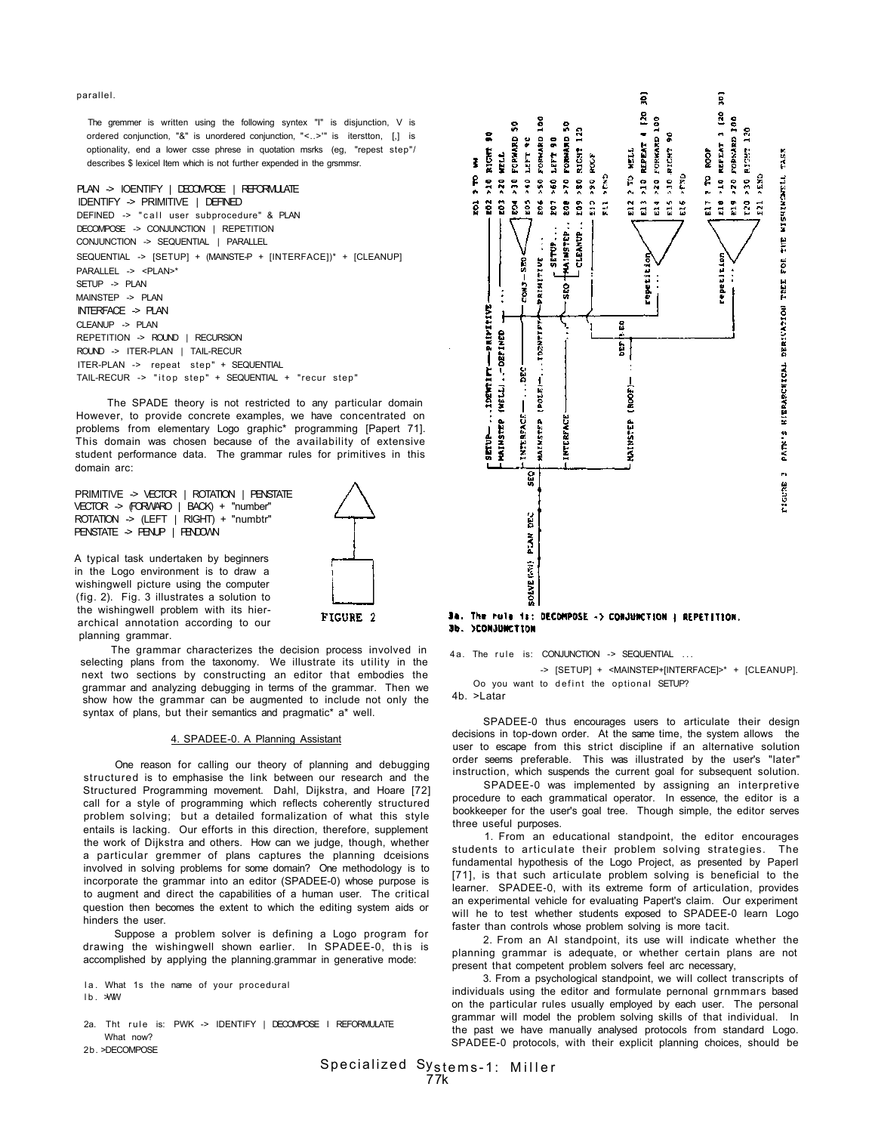parallel.

The gremmer is written using the following syntex "I" is disjunction, V is ordered conjunction, "&" is unordered conjunction, "<..>'" is iterstton, [,] is optionality, end a lower csse phrese in quotation msrks (eg, "repest step"/ describes \$ lexicel Item which is not further expended in the grsmmsr.

### PLAN -> IOENTIFY | DECOMPOSE | REFORMULATE

IDENTIFY -> PRIMITIVE | DEFINED DEFINED -> "call user subprocedure" & PLAN DECOMPOSE -> CONJUNCTION | REPETITION CONJUNCTION -> SEQUENTIAL | PARALLEL SEQUENTIAL -> [SETUP] + (MAINSTE-P + [INTERFACE])\* + [CLEANUP] PARALLEL -> <PLAN>\* SETUP -> PLAN MAINSTEP -> PLAN  $INTERFACE$  -> PLAN CLEANUP -> PLAN REPETITION -> ROUND | RECURSION ROUND -> ITER-PLAN | TAIL-RECUR ITER-PLAN -> repeat step" + SEQUENTIAL TAIL-RECUR -> "itop step" + SEQUENTIAL + "recur step"

The SPADE theory is not restricted to any particular domain However, to provide concrete examples, we have concentrated on problems from elementary Logo graphic\* programming [Papert 71]. This domain was chosen because of the availability of extensive student performance data. The grammar rules for primitives in this domain arc:

PRIMITIVE -> VECTOR | ROTATION | PENSTATE VECTOR -> (FORWARO | BACK) + "number" ROTATION -> (LEFT | RIGHT) + "numbtr" PENSTATE -> PENUP | FENDOWN

A typical task undertaken by beginners in the Logo environment is to draw a wishingwell picture using the computer (fig. 2). Fig. 3 illustrates a solution to the wishingwell problem with its hierarchical annotation according to our planning grammar.

The grammar characterizes the decision process involved in selecting plans from the taxonomy. We illustrate its utility in the next two sections by constructing an editor that embodies the grammar and analyzing debugging in terms of the grammar. Then we show how the grammar can be augmented to include not only the syntax of plans, but their semantics and pragmatic\* a\* well.

### 4. SPADEE-0. A Planning Assistant

One reason for calling our theory of planning and debugging structured is to emphasise the link between our research and the Structured Programming movement. Dahl, Dijkstra, and Hoare [72] call for a style of programming which reflects coherently structured problem solving; but a detailed formalization of what this style entails is lacking. Our efforts in this direction, therefore, supplement the work of Dijkstra and others. How can we judge, though, whether a particular gremmer of plans captures the planning dceisions involved in solving problems for some domain? One methodology is to incorporate the grammar into an editor (SPADEE-0) whose purpose is to augment and direct the capabilities of a human user. The critical question then becomes the extent to which the editing system aids or hinders the user.

Suppose a problem solver is defining a Logo program for drawing the wishingwell shown earlier. In SPADEE-0, this is accomplished by applying the planning.grammar in generative mode:

Ia. What 1s the name of your procedural

 $1b.$   $\forall W$ 

- 2a. Tht rule is: PWK -> IDENTIFY | DECOMPOSE I REFORMULATE What now?
- 2b. >DECOMPOSE





## 34. The rule is: DECOMPOSE -> CONJUNCTION | REPETITION. 36. >CONJUNCTION

4a. The rule is: CONJUNCTION -> SEQUENTIAL ... -> [SETUP] + <MAINSTEP+[INTERFACE]>\* + [CLEANUP]. Oo you want to defint the optional SETUP?

4b. >Latar

SPADEE-0 thus encourages users to articulate their design decisions in top-down order. At the same time, the system allows the user to escape from this strict discipline if an alternative solution order seems preferable. This was illustrated by the user's "later" instruction, which suspends the current goal for subsequent solution.

SPADEE-0 was implemented by assigning an interpretive procedure to each grammatical operator. In essence, the editor is a bookkeeper for the user's goal tree. Though simple, the editor serves three useful purposes.

1. From an educational standpoint, the editor encourages students to articulate their problem solving strategies. The fundamental hypothesis of the Logo Project, as presented by Paperl [71], is that such articulate problem solving is beneficial to the learner. SPADEE-0, with its extreme form of articulation, provides an experimental vehicle for evaluating Papert's claim. Our experiment will he to test whether students exposed to SPADEE-0 learn Logo faster than controls whose problem solving is more tacit.

2. From an AI standpoint, its use will indicate whether the planning grammar is adequate, or whether certain plans are not present that competent problem solvers feel arc necessary,

3. From a psychological standpoint, we will collect transcripts of individuals using the editor and formulate pernonal grnmmars based on the particular rules usually employed by each user. The personal grammar will model the problem solving skills of that individual. In the past we have manually analysed protocols from standard Logo. SPADEE-0 protocols, with their explicit planning choices, should be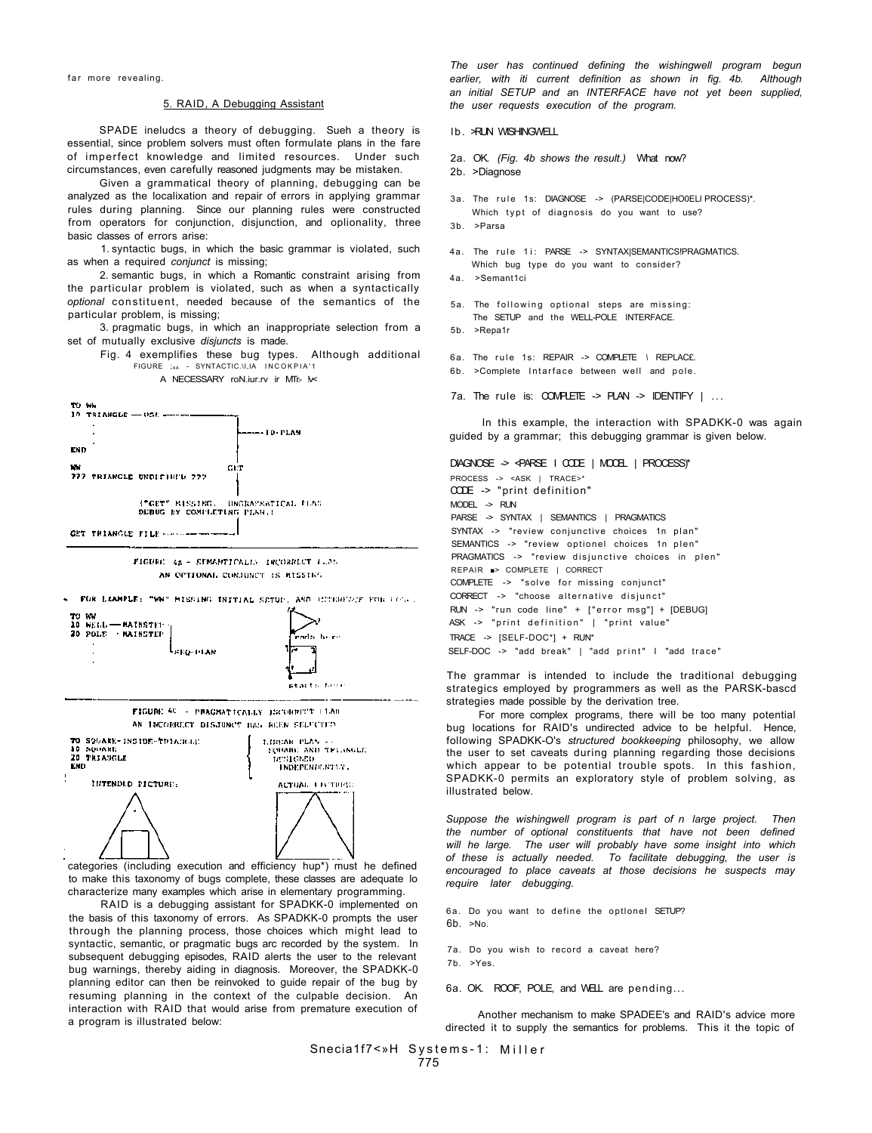#### 5. RAID, A Debugging Assistant

SPADE ineludcs a theory of debugging. Sueh a theory is essential, since problem solvers must often formulate plans in the fare of imperfect knowledge and limited resources. Under such circumstances, even carefully reasoned judgments may be mistaken.

Given a grammatical theory of planning, debugging can be analyzed as the localixation and repair of errors in applying grammar rules during planning. Since our planning rules were constructed from operators for conjunction, disjunction, and oplionality, three basic classes of errors arise:

1. syntactic bugs, in which the basic grammar is violated, such as when a required *conjunct* is missing;

2. semantic bugs, in which a Romantic constraint arising from the particular problem is violated, such as when a syntactically *optional* constituent, needed because of the semantics of the particular problem, is missing;

3. pragmatic bugs, in which an inappropriate selection from a set of mutually exclusive *disjuncts* is made.

Fig. 4 exemplifies these bug types. Although additional FIGURE  $_{4A}$  - SYNTACTIC.\I,IA INCOKPIA'1

A NECESSARY roN.iur.rv ir MTr.- M



FIGURE 48 - SEMANTICALES INCORRECT LEAD AN OPTIONAL CORJUNCT IS MISSING.



categories (including execution and efficiency hup\*) must he defined to make this taxonomy of bugs complete, these classes are adequate lo characterize many examples which arise in elementary programming.

RAID is a debugging assistant for SPADKK-0 implemented on the basis of this taxonomy of errors. As SPADKK-0 prompts the user through the planning process, those choices which might lead to syntactic, semantic, or pragmatic bugs arc recorded by the system. In subsequent debugging episodes, RAID alerts the user to the relevant bug warnings, thereby aiding in diagnosis. Moreover, the SPADKK-0 planning editor can then be reinvoked to guide repair of the bug by resuming planning in the context of the culpable decision. An interaction with RAID that would arise from premature execution of a program is illustrated below:

*The user has continued defining the wishingwell program begun earlier, with iti current definition as shown in fig. 4b. Although an initial SETUP and a*n *INTERFACE have not yet been supplied, the user requests execution of the program.* 

lb. >RUN WISHINGWELL

- 2a. OK. *(Fig. 4b shows the result.)* What now?
- 2b. >Diagnose
- 3a. The rule 1s: DIAGNOSE -> (PARSE|CODE|HO0ELI PROCESS)\*.
- Which typt of diagnosis do you want to use?
- 3b. >Parsa
- 4a. The rule 1i: PARSE -> SYNTAX|SEMANTICS!PRAGMATICS. Which bug type do you want to consider?
- 4a. >Semant1ci
- 5a. The following optional steps are missing: The SETUP and the WELL-POLE INTERFACE.
- 5b. >Repa1r
- 6a. The rul e 1s: REPAIR -> COMPLETE *\* REPLAC£.
- 6b. >Complete Intarface between well and pole.
- 7a. The rule is:  $COMPETE \rightarrow PLAN \rightarrow IDENTIFY \mid ...$

In this example, the interaction with SPADKK-0 was again guided by a grammar; this debugging grammar is given below.

## DIAGNOSE -> <PARSE I CODE | MOOEL | PROCESS)\*

PROCESS -> <ASK | TRACE>\* CODE -> "print definition"  $MODEL$  ->  $RUN$ PARSE -> SYNTAX | SEMANTICS | PRAGMATICS SYNTAX -> "review conjunctive choices 1n plan" SEMANTICS -> "review optionel choices 1n plen" PRAGMATICS -> "review disjunctive choices in plen" REPAIR ■> COMPLETE | CORRECT COMPLETE -> "solve for missing conjunct" CORRECT -> "choose alternative disjunct"  $RUN -> "run code line" + ['error msg"] + [DEBUGI]$ ASK -> "print definition" | "print value" TRACE -> [SELF-DOC\*] + RUN\* SELF-DOC -> "add break" | "add print" | "add trace"

The grammar is intended to include the traditional debugging strategics employed by programmers as well as the PARSK-bascd strategies made possible by the derivation tree.

For more complex programs, there will be too many potential bug locations for RAID's undirected advice to be helpful. Hence, following SPADKK-O's *structured bookkeeping* philosophy, we allow the user to set caveats during planning regarding those decisions which appear to be potential trouble spots. In this fashion, SPADKK-0 permits an exploratory style of problem solving, as illustrated below.

*Suppose the wishingwell program is part of n large project. Then the number of optional constituents that have not been defined will he large. The user will probably have some insight into which of these is actually needed. To facilitate debugging, the user is encouraged to place caveats at those decisions he suspects may require later debugging.* 

6a. Do you want to define the optlonel SETUP? 6b. >No.

- 7a. Do you wish to record a caveat here?
- 7b. >Yes.

6a. OK. ROOF, POLE, and WELL are pending...

Another mechanism to make SPADEE's and RAID's advice more directed it to supply the semantics for problems. This it the topic of

Snecia1f7<»H Systems-1: Miller 775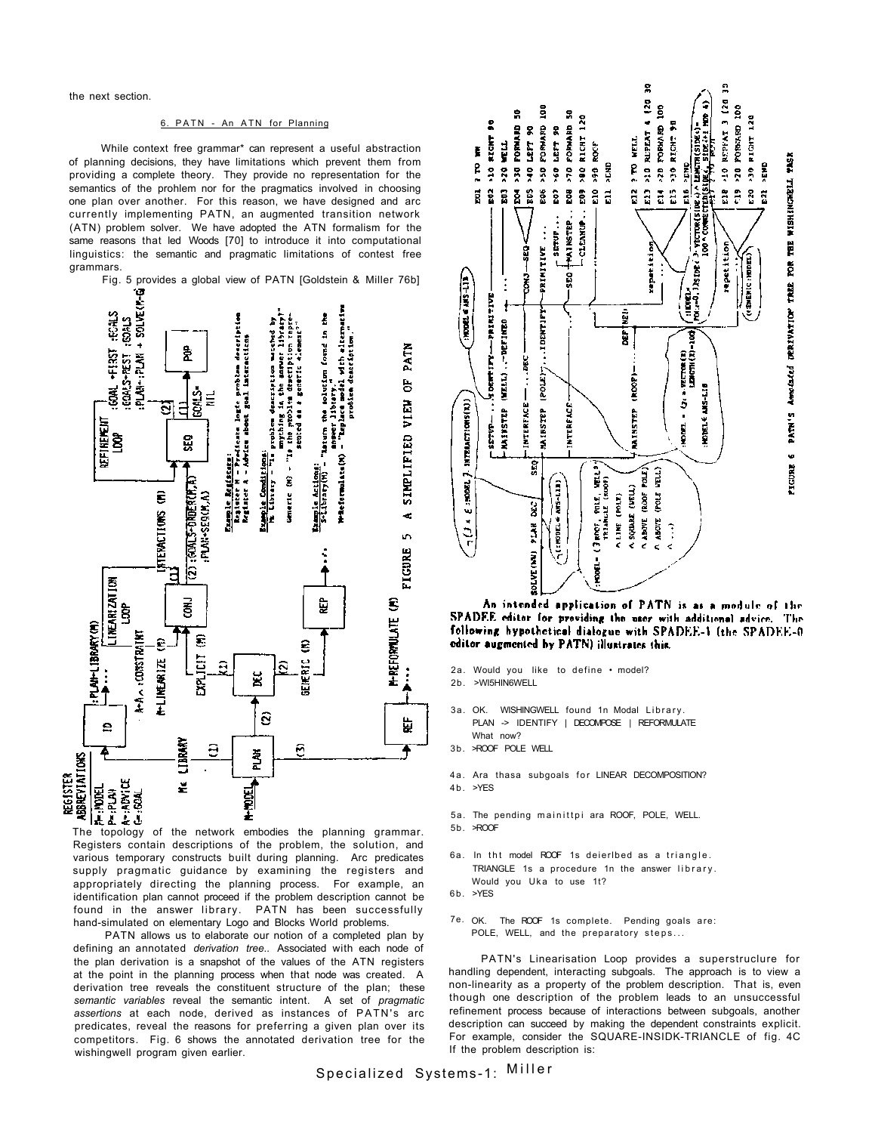the next section.

#### 6. PATN - An ATN for Planning

While context free grammar\* can represent a useful abstraction of planning decisions, they have limitations which prevent them from providing a complete theory. They provide no representation for the semantics of the prohlem nor for the pragmatics involved in choosing one plan over another. For this reason, we have designed and arc currently implementing PATN, an augmented transition network (ATN) problem solver. We have adopted the ATN formalism for the same reasons that led Woods [70] to introduce it into computational linguistics: the semantic and pragmatic limitations of contest free grammars.

Fig. 5 provides a global view of PATN [Goldstein & Miller 76b]  $+$  SOLVE(P-G) s-wieraryth) – marenn tom mouseinn found an fomme<br>W-Befermolice(M) – "Replace model with elternativa<br>W-Befermolice(M) – "Replace model with elternativa  $1.6345$ solution found in the <u>Cample Regiscats</u>:<br>Register H – Predicate logic problem descripti<br>Register A – Advicu about goal interaction **The Season** mnything in the answer libra<br>The problem description rap<br>scoted as a generic 41ement? PATN COAL +FIRST 훋 PLAN-PLAN GOA! S-REST pruhlem dencription 5 COALS-≣ SIMPLIFIED VIEW 5 ≘ **Turum the** refirent<br>Loop Generic (M) - "Is the ដ្ឋ **Experie Conditions:**<br>He Library - "Is Service Actions:<br>Service Actions: **COALS-ORDER (M.A)** PLAN-SERCH, A) **ATERACTIONS (M)** ď.  $\overline{a}$ **FIGURE** Ιē É LINEARIZATION క్టే ę **M-REFORMULATE (M)** ទ្ធិ : PLAN-LIBRARY (M) A-A A : CONSTRAINT S € S EXPLICIT **M-LIKEARIZE** GENERIC А  $\tilde{\phantom{0}}$  $\ddot{.}$ ğ ŝ 눥  $\mathbf{e}$ **CLBRART** Э 6 REGISTER<br>ABBREYIATIONS Ž N-YODEL The topology of the network embodies the planning grammar.<br>The topology of the network embodies the planning grammar. ž

Registers contain descriptions of the problem, the solution, and various temporary constructs built during planning. Arc predicates supply pragmatic guidance by examining the registers and appropriately directing the planning process. For example, an identification plan cannot proceed if the problem description cannot be found in the answer library. PATN has been successfully hand-simulated on elementary Logo and Blocks World problems.

PATN allows us to elaborate our notion of a completed plan by defining an annotated *derivation tree..* Associated with each node of the plan derivation is a snapshot of the values of the ATN registers at the point in the planning process when that node was created. A derivation tree reveals the constituent structure of the plan; these *semantic variables* reveal the semantic intent. A set of *pragmatic*  assertions at each node, derived as instances of PATN's arc predicates, reveal the reasons for preferring a given plan over its competitors. Fig. 6 shows the annotated derivation tree for the wishingwell program given earlier.



An intended application of PATN is as a module of the SPADEE editor for providing the user with additional advice. The following hypothetical dialogue with SPADEE-1 (the SPADEE-0 editor augmented by PATN) illustrates this.

- 2a. Would you like to define model?
- 2b. >WI5HIN6WELL
- 3a. OK. WISHINGWELL found 1n Modal Library. PLAN -> IDENTIFY | DECOMPOSE | REFORMULATE What now?
- 3b. >ROOF POLE WELL
- 4a. Ara thasa subgoals for LINEAR DECOMPOSITION?  $4 b. >YFS$
- 5a. The pending mainittpi ara ROOF, POLE, WELL.
- 5b. >ROOF
- 6a. In tht model ROOF 1s deierlbed as a triangle. TRIANGLE 1s a procedure 1n the answer library . Would you Uka to use 1t?
- 6b. >YES
- 7e. OK. The ROOF 1s complete. Pending goals are: POLE, WELL, and the preparatory steps...

PATN's Linearisation Loop provides a superstruclure for handling dependent, interacting subgoals. The approach is to view a non-linearity as a property of the problem description. That is, even though one description of the problem leads to an unsuccessful refinement process because of interactions between subgoals, another description can succeed by making the dependent constraints explicit. For example, consider the SQUARE-INSIDK-TRIANCLE of fig. 4C If the problem description is: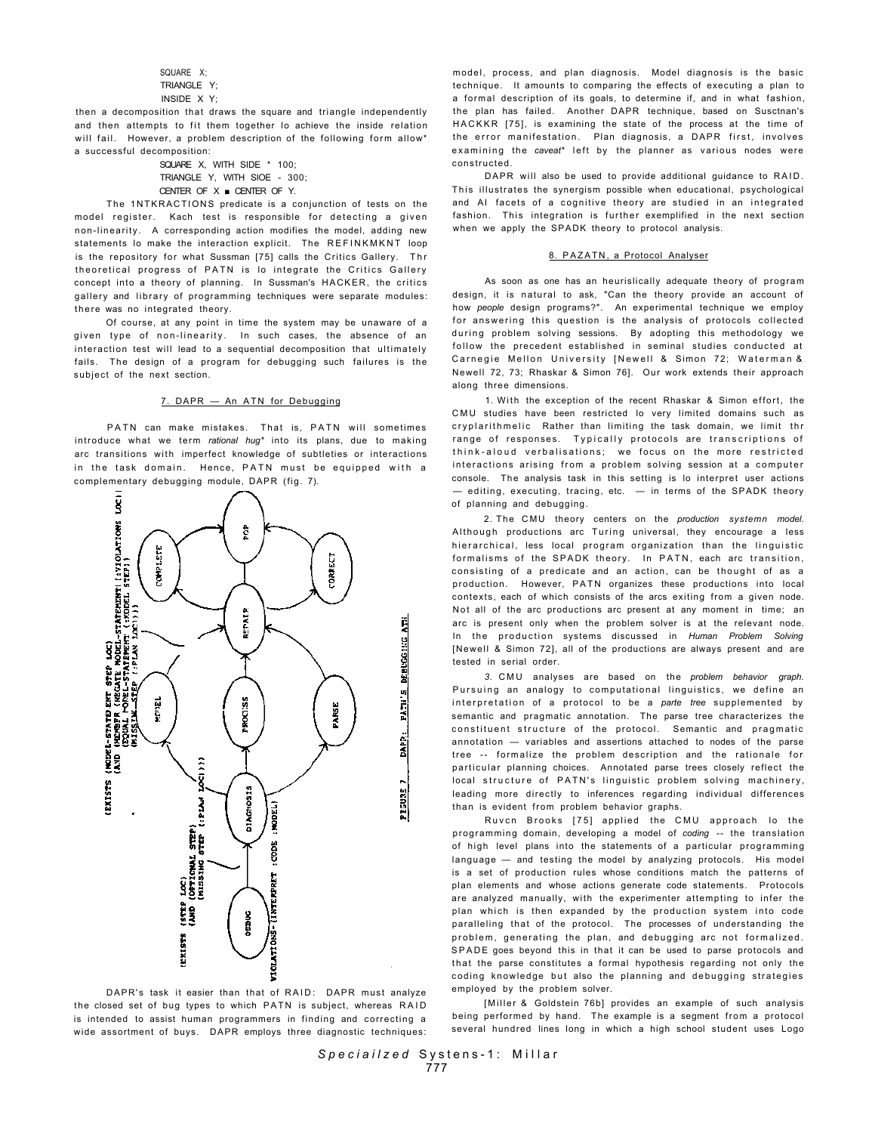SQUARE X; TRIANGLE Y' INSIDE X Y;

then a decomposition that draws the square and triangle independently and then attempts to fit them together Io achieve the inside relation will fail. However, a problem description of the following form allow\* a successful decomposition:

SQUARE X, WITH SIDE \* 100; TRIANGLE Y, WITH SIOE - 300; CENTER OF  $X \blacksquare$  CENTER OF Y.

The 1NTKRACTIONS predicate is a conjunction of tests on the model register. Kach test is responsible for detecting a given non-linearity. A corresponding action modifies the model, adding new statements Io make the interaction explicit. The REFINKMKNT loop is the repository for what Sussman [75] calls the Critics Gallery. Thr theoretical progress of PATN is lo integrate the Critics Gallery concept into a theory of planning. In Sussman's HACKER, the critics gallery and library of programming techniques were separate modules: there was no integrated theory.

Of course, at any point in time the system may be unaware of a given type of non-linearity. In such cases, the absence of an interaction test will lead to a sequential decomposition that ultimately fails. The design of a program for debugging such failures is the subject of the next section.

### 7. DAPR - An ATN for Debugging

PATN can make mistakes. That is, PATN will sometimes introduce what we term *rational hug\** into its plans, due to making arc transitions with imperfect knowledge of subtleties or interactions in the task domain. Hence, PATN must be equipped with a complementary debugging module, DAPR (fig. 7).



DAPR's task it easier than that of RAID: DAPR must analyze the closed set of bug types to which PATN is subject, whereas RAID is intended to assist human programmers in finding and correcting a wide assortment of buys. DAPR employs three diagnostic techniques:

model, process, and plan diagnosis. Model diagnosis is the basic technique. It amounts to comparing the effects of executing a plan to a formal description of its goals, to determine if, and in what fashion, the plan has failed. Another DAPR technique, based on Susctnan's HACKKR [75], is examining the state of the process at the time of the error manifestation. Plan diagnosis, a DAPR first, involves examining the caveat<sup>\*</sup> left by the planner as various nodes were constructed.

DAPR will also be used to provide additional guidance to RAID. This illustrates the synergism possible when educational, psychological and AI facets of a cognitive theory are studied in an integrated fashion. This integration is further exemplified in the next section when we apply the SPADK theory to protocol analysis.

#### 8. PAZATN, a Protocol Analyser

As soon as one has an heurislically adequate theory of program design, it is natural to ask, "Can the theory provide an account of how *people* design programs?". An experimental technique we employ for answering this question is the analysis of protocols collected during problem solving sessions. By adopting this methodology we follow the precedent established in seminal studies conducted at Carnegie Mellon University [Newell & Simon 72; Waterman & Newell 72, 73; Rhaskar & Simon 76]. Our work extends their approach along three dimensions.

1. With the exception of the recent Rhaskar & Simon effort, the CMU studies have been restricted lo very limited domains such as cryplarithmelic Rather than limiting the task domain, we limit thr range of responses. Typically protocols are transcriptions of think-aloud verbalisations; we focus on the more restricted interactions arising from a problem solving session at a computer console. The analysis task in this setting is lo interpret user actions — editing, executing, tracing, etc. — in terms of the SPADK theory of planning and debugging.

2. The CMU theory centers on the *production* systemn model. Although productions arc Turing universal, they encourage a less hierarchical, less local program organization than the linguistic formalisms of the SPADK theory. In PATN, each arc transition, consisting of a predicate and an action, can be thought of as a production. However, PATN organizes these productions into local contexts, each of which consists of the arcs exiting from a given node. Not all of the arc productions arc present at any moment in time; an arc is present only when the problem solver is at the relevant node. In the production systems discussed in Human Problem Solving [Newell & Simon 72], all of the productions are always present and are tested in serial order.

*3.* CM U analyses are based on the *problem behavior graph.*  Pursuing an analogy to computational linguistics, we define an interpretation of a protocol to be a parte tree supplemented by semantic and pragmatic annotation. The parse tree characterizes the constituent structure of the protocol. Semantic and pragmatic annotation — variables and assertions attached to nodes of the parse tree -- formalize the problem description and the rationale for particular planning choices. Annotated parse trees closely reflect the local structure of PATN's linguistic problem solving machinery, leading more directly to inferences regarding individual differences than is evident from problem behavior graphs.

Ruvcn Brooks [75] applied the CMU approach lo the programming domain, developing a model of *coding* -- the translation of high level plans into the statements of a particular programming language — and testing the model by analyzing protocols. His model is a set of production rules whose conditions match the patterns of plan elements and whose actions generate code statements. Protocols are analyzed manually, with the experimenter attempting to infer the plan which is then expanded by the production system into code paralleling that of the protocol. The processes of understanding the problem, generating the plan, and debugging arc not formalized. SPADE goes beyond this in that it can be used to parse protocols and that the parse constitutes a formal hypothesis regarding not only the coding knowledge but also the planning and debugging strategies employed by the problem solver.

[Miller & Goldstein 76b] provides an example of such analysis being performed by hand. The example is a segment from a protocol several hundred lines long in which a high school student uses Logo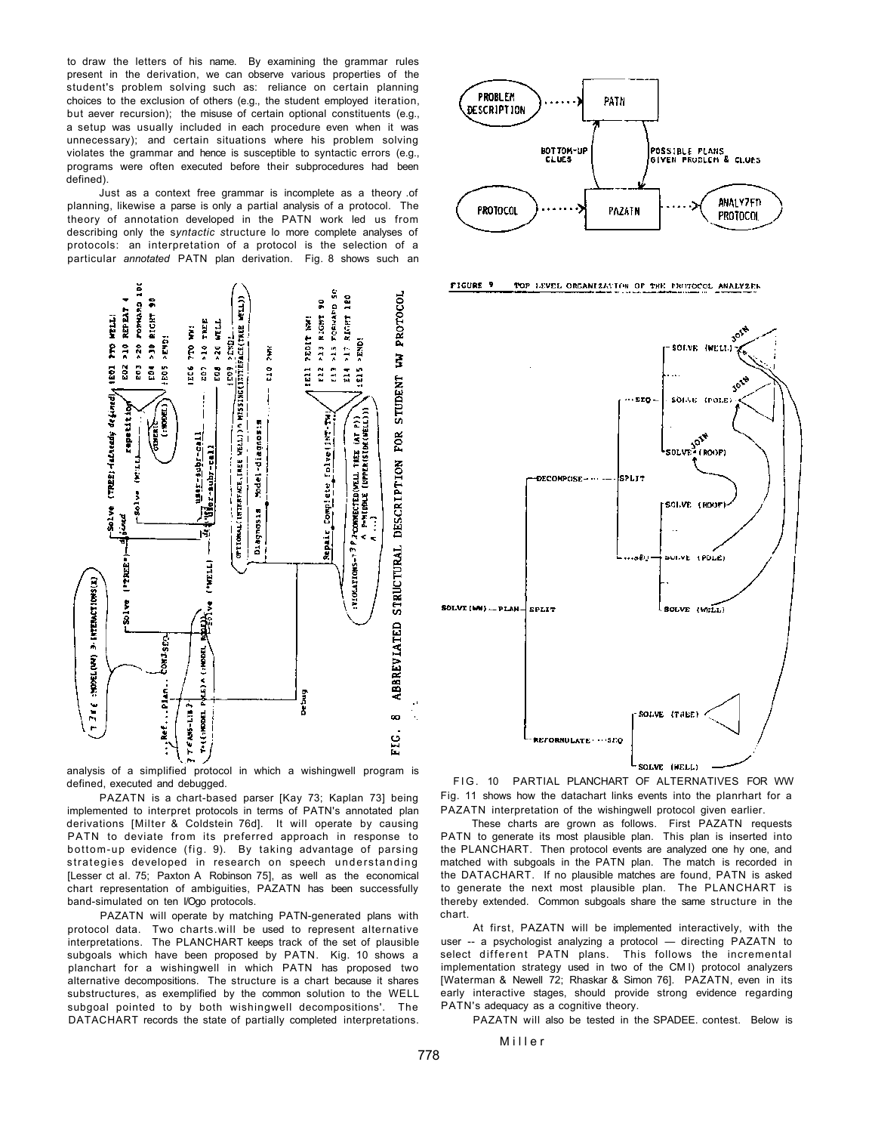to draw the letters of his name. By examining the grammar rules present in the derivation, we can observe various properties of the student's problem solving such as: reliance on certain planning choices to the exclusion of others (e.g., the student employed iteration, but aever recursion); the misuse of certain optional constituents (e.g., a setup was usually included in each procedure even when it was unnecessary); and certain situations where his problem solving violates the grammar and hence is susceptible to syntactic errors (e.g., programs were often executed before their subprocedures had been defined).

Just as a context free grammar is incomplete as a theory .of planning, likewise a parse is only a partial analysis of a protocol. The theory of annotation developed in the PATN work led us from describing only the s*yntactic s*tructure lo more complete analyses of protocols: an interpretation of a protocol is the selection of a particular *annotated* PATN plan derivation. Fig. 8 shows such an



analysis of a simplified protocol in which a wishingwell program is defined, executed and debugged.

PAZATN is a chart-based parser [Kay 73; Kaplan 73] being implemented to interpret protocols in terms of PATN's annotated plan derivations [Milter & Coldstein 76d]. It will operate by causing PATN to deviate from its preferred approach in response to bottom-up evidence (fig. 9). By taking advantage of parsing strategies developed in research on speech understanding [Lesser ct al. 75; Paxton A Robinson 75], as well as the economical chart representation of ambiguities, PAZATN has been successfully band-simulated on ten I/Ogo protocols.

PAZATN will operate by matching PATN-generated plans with protocol data. Two charts.will be used to represent alternative interpretations. The PLANCHART keeps track of the set of plausible subgoals which have been proposed by PATN. Kig. 10 shows a planchart for a wishingwell in which PATN has proposed two alternative decompositions. The structure is a chart because it shares substructures, as exemplified by the common solution to the WELL subgoal pointed to by both wishingwell decompositions'. The DATACHART records the state of partially completed interpretations.



FIGURE 9 TOP LEVEL ORGANIZATION OF THE PROTOCOL ANALYZER



FIG. 10 PARTIAL PLANCHART OF ALTERNATIVES FOR WW Fig. 11 shows how the datachart links events into the planrhart for a PAZATN interpretation of the wishingwell protocol given earlier.

These charts are grown as follows. First PAZATN requests PATN to generate its most plausible plan. This plan is inserted into the PLANCHART. Then protocol events are analyzed one hy one, and matched with subgoals in the PATN plan. The match is recorded in the DATACHART. If no plausible matches are found, PATN is asked to generate the next most plausible plan. The PLANCHART is thereby extended. Common subgoals share the same structure in the chart.

At first, PAZATN will be implemented interactively, with the user -- a psychologist analyzing a protocol — directing PAZATN to select different PATN plans. This follows the incremental implementation strategy used in two of the CM I) protocol analyzers [Waterman & Newell 72; Rhaskar & Simon 76]. PAZATN, even in its early interactive stages, should provide strong evidence regarding PATN's adequacy as a cognitive theory.

PAZATN will also be tested in the SPADEE. contest. Below is

Mille r